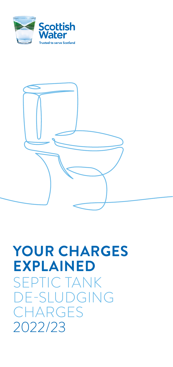



# **YOUR CHARGES EXPLAINED** SEPTIC TANK DE-SLUDGING **CHARGES** 2022/23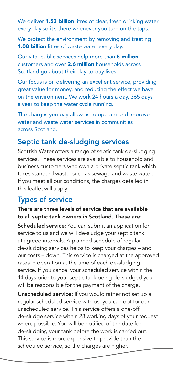We deliver **1.53 billion** litres of clear, fresh drinking water every day so it's there whenever you turn on the taps.

We protect the environment by removing and treating 1.08 billion litres of waste water every day.

Our vital public services help more than 5 million customers and over 2.6 million households across Scotland go about their day-to-day lives.

Our focus is on delivering an excellent service, providing great value for money, and reducing the effect we have on the environment. We work 24 hours a day, 365 days a year to keep the water cycle running.

The charges you pay allow us to operate and improve water and waste water services in communities across Scotland.

# Septic tank de-sludging services

Scottish Water offers a range of septic tank de-sludging services. These services are available to household and business customers who own a private septic tank which takes standard waste, such as sewage and waste water. If you meet all our conditions, the charges detailed in this leaflet will apply.

## Types of service

#### There are three levels of service that are available to all septic tank owners in Scotland. These are:

Scheduled service: You can submit an application for service to us and we will de-sludge your septic tank at agreed intervals. A planned schedule of regular de-sludging services helps to keep your charges – and our costs – down. This service is charged at the approved rates in operation at the time of each de-sludging service. If you cancel your scheduled service within the 14 days prior to your septic tank being de-sludged you will be responsible for the payment of the charge.

Unscheduled service: If you would rather not set up a regular scheduled service with us, you can opt for our unscheduled service. This service offers a one-off de-sludge service within 28 working days of your request where possible. You will be notified of the date for de-sludging your tank before the work is carried out. This service is more expensive to provide than the scheduled service, so the charges are higher.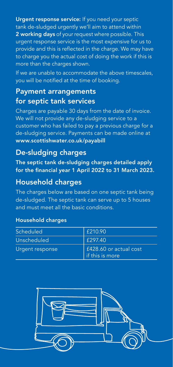Urgent response service: If you need your septic tank de-sludged urgently we'll aim to attend within 2 working days of your request where possible. This urgent response service is the most expensive for us to provide and this is reflected in the charge. We may have to charge you the actual cost of doing the work if this is more than the charges shown.

If we are unable to accommodate the above timescales, you will be notified at the time of booking.

# Payment arrangements for septic tank services

Charges are payable 30 days from the date of invoice. We will not provide any de-sludging service to a customer who has failed to pay a previous charge for a de-sludging service. Payments can be made online at www.scottishwater.co.uk/payabill

## De-sludging charges

The septic tank de-sludging charges detailed apply for the financial year 1 April 2022 to 31 March 2023.

# Household charges

The charges below are based on one septic tank being de-sludged. The septic tank can serve up to 5 houses and must meet all the basic conditions.

#### Household charges

| Scheduled       | £210.90                                   |
|-----------------|-------------------------------------------|
| Unscheduled     | £297.40                                   |
| Urgent response | £428.60 or actual cost<br>if this is more |

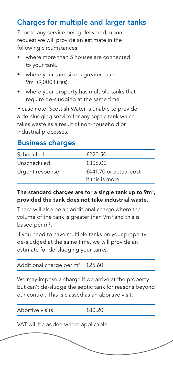# Charges for multiple and larger tanks

Prior to any service being delivered, upon request we will provide an estimate in the following circumstances:

- where more than 5 houses are connected to your tank.
- where your tank size is greater than 9m3 (9,000 litres).
- where your property has multiple tanks that require de-sludging at the same time.

Please note, Scottish Water is unable to provide a de-sludging service for any septic tank which takes waste as a result of non-household or industrial processes.

## Business charges

| Scheduled       | £220.50                                   |
|-----------------|-------------------------------------------|
| Unscheduled     | £306.00                                   |
| Urgent response | £441.70 or actual cost<br>if this is more |

#### The standard charges are for a single tank up to  $9m<sup>3</sup>$ , provided the tank does not take industrial waste.

There will also be an additional charge where the volume of the tank is greater than 9 $\mathsf{m}^{\mathsf{3}}$  and this is based per m $^3$ .

If you need to have multiple tanks on your property de-sludged at the same time, we will provide an estimate for de-sludging your tanks.

| Additional charge per $m^3$   £25.60 |  |
|--------------------------------------|--|
|--------------------------------------|--|

We may impose a charge if we arrive at the property but can't de-sludge the septic tank for reasons beyond our control. This is classed as an abortive visit.

| Abortive visits | £80.20 |
|-----------------|--------|
|                 |        |

VAT will be added where applicable.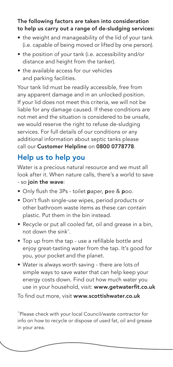#### The following factors are taken into consideration to help us carry out a range of de-sludging services:

- the weight and manageability of the lid of your tank (i.e. capable of being moved or lifted by one person).
- the position of your tank (i.e. accessibility and/or distance and height from the tanker).
- the available access for our vehicles and parking facilities.

Your tank lid must be readily accessible, free from any apparent damage and in an unlocked position. If your lid does not meet this criteria, we will not be liable for any damage caused. If these conditions are not met and the situation is considered to be unsafe, we would reserve the right to refuse de-sludging services. For full details of our conditions or any additional information about septic tanks please call our Customer Helpline on 0800 0778778.

# Help us to help you

Water is a precious natural resource and we must all look after it. When nature calls, there's a world to save - so join the wave:

- Only flush the 3Ps toilet paper, pee & poo.
- Don't flush single-use wipes, period products or other bathroom waste items as these can contain plastic. Put them in the bin instead.
- Recycle or put all cooled fat, oil and grease in a bin, not down the sink^.
- Top up from the tap use a refillable bottle and enjoy great-tasting water from the tap. It's good for you, your pocket and the planet.
- Water is always worth saving there are lots of simple ways to save water that can help keep your energy costs down. Find out how much water you use in your household, visit: www.getwaterfit.co.uk

To find out more, visit www.scottishwater.co.uk

^Please check with your local Council/waste contractor for info on how to recycle or dispose of used fat, oil and grease in your area.